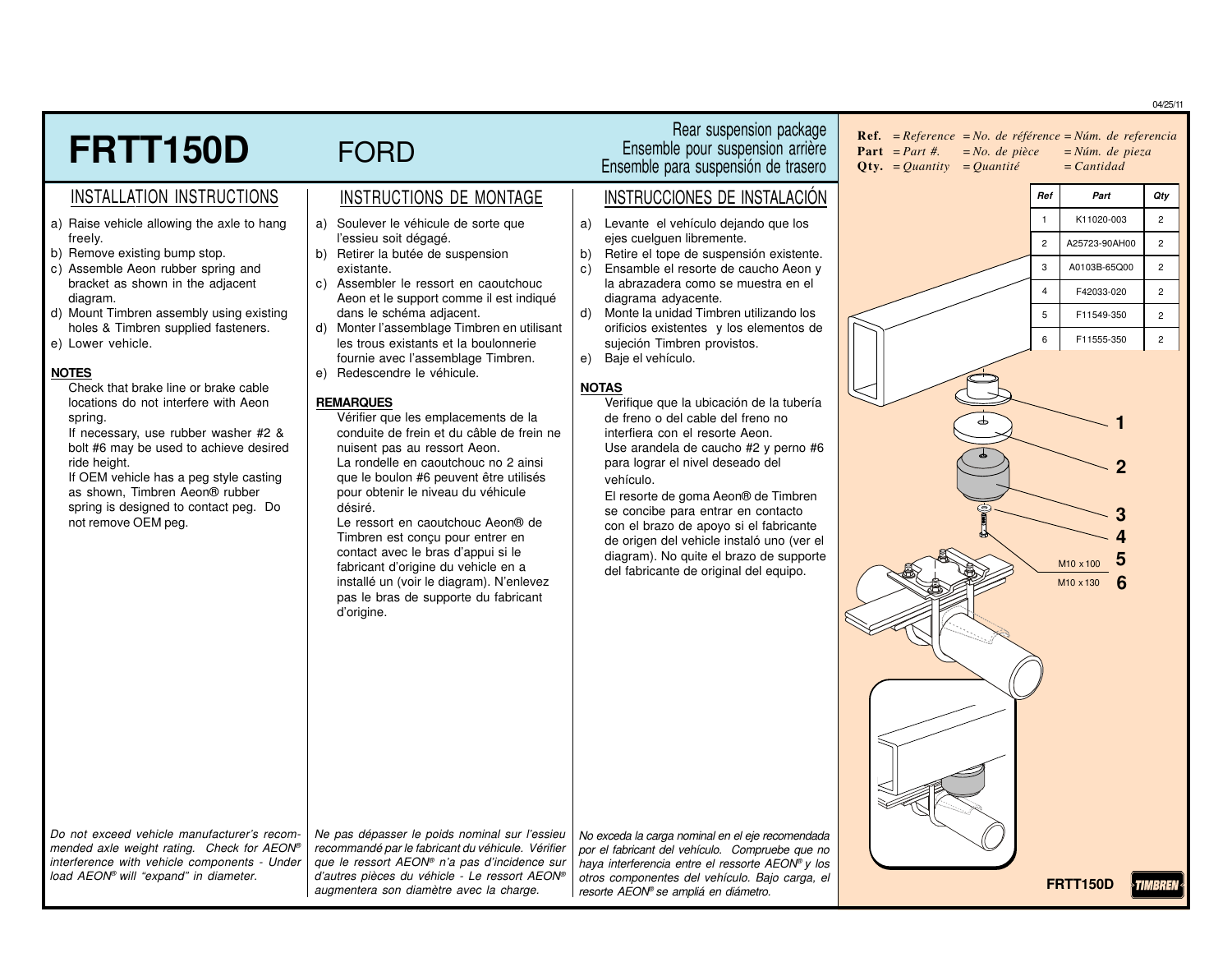**FRTT150D** FORD INSTALLATION INSTRUCTIONS | INSTRUCTIONS DE MONTAGE | INSTRUCCIONES DE INSTALACIÓN Rear suspension package Ensemble pour suspension arrière Ensemble para suspensión de trasero a) Raise vehicle allowing the axle to hang freely. b) Remove existing bump stop. c) Assemble Aeon rubber spring and bracket as shown in the adjacent diagram. d) Mount Timbren assembly using existing holes & Timbren supplied fasteners. e) Lower vehicle. **NOTES** Check that brake line or brake cable locations do not interfere with Aeon spring. If necessary, use rubber washer #2 & bolt #6 may be used to achieve desired ride height. If OEM vehicle has a peg style casting as shown, Timbren Aeon® rubber spring is designed to contact peg. Do not remove OEM peg. a) Soulever le véhicule de sorte que l'essieu soit dégagé. b) Retirer la butée de suspension existante. c) Assembler le ressort en caoutchouc Aeon et le support comme il est indiqué dans le schéma adjacent. d) Monter l'assemblage Timbren en utilisant les trous existants et la boulonnerie fournie avec l'assemblage Timbren. e) Redescendre le véhicule. **REMARQUES** Vérifier que les emplacements de la conduite de frein et du câble de frein ne nuisent pas au ressort Aeon. La rondelle en caoutchouc no 2 ainsi que le boulon #6 peuvent être utilisés pour obtenir le niveau du véhicule désiré. Le ressort en caoutchouc Aeon® de Timbren est conçu pour entrer en contact avec le bras d'appui si le fabricant d'origine du vehicle en a installé un (voir le diagram). N'enlevez pas le bras de supporte du fabricant d'origine. a) Levante el vehículo dejando que los ejes cuelquen libremente. b) Retire el tope de suspensión existente. c) Ensamble el resorte de caucho Aeon y la abrazadera como se muestra en el diagrama adyacente. d) Monte la unidad Timbren utilizando los orificios existentes y los elementos de sujeción Timbren provistos. e) Baje el vehículo. **NOTAS** Verifique que la ubicación de la tubería de freno o del cable del freno no interfiera con el resorte Aeon. Use arandela de caucho #2 y perno #6 para lograr el nivel deseado del vehículo. El resorte de goma Aeon® de Timbren se concibe para entrar en contacto con el brazo de apoyo si el fabricante de origen del vehicle instaló uno (ver el diagram). No quite el brazo de supporte del fabricante de original del equipo. Do not exceed vehicle manufacturer's recom-Ne pas dépasser le poids nominal sur l'essieu No exceda la carga nominal en el eje recomendada 04/25/11 **Ref***. =Reference =No. de référence <sup>=</sup> Núm. de referencia* **Part** *=Part #. =No. de pièce <sup>=</sup> Núm. de pieza* **Qty.** *<sup>=</sup> Quantity <sup>=</sup> Quantité <sup>=</sup> Cantidad* **1 2** M10 x 100 **5 3** M10 x 130 **6** *Ref Part Qty* 1 K11020-003 2 2 A25723-90AH00 2 3 A0103B-65Q00 2 4 F42033-020 2 5 F11549-350 2 6 F11555-350 2 **4**

mended axle weight rating. Check for AEON® interference with vehicle components - Under load AEON® will "expand" in diameter.

recommandé par le fabricant du véhicule. Vérifier que le ressort AEON® n'a pas d'incidence sur d'autres pièces du véhicle - Le ressort AEON® augmentera son diamètre avec la charge.

por el fabricant del vehículo. Compruebe que no haya interferencia entre el ressorte AEON® y los otros componentes del vehículo. Bajo carga, el resorte AEON® se ampliá en diámetro.